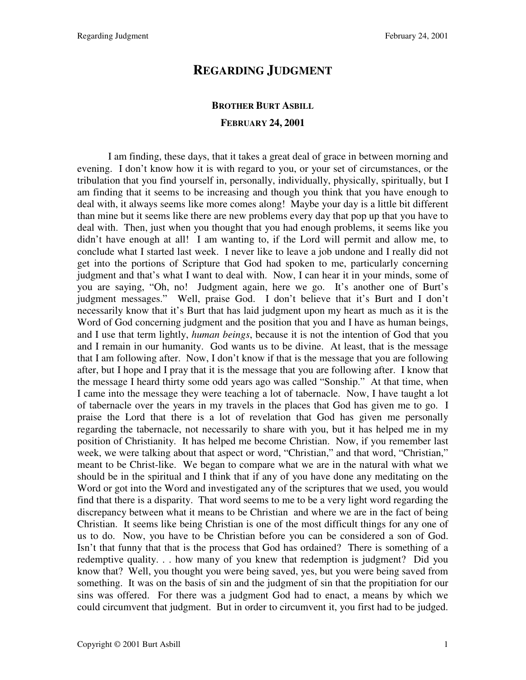## **REGARDING JUDGMENT**

## **BROTHER BURT ASBILL FEBRUARY 24, 2001**

I am finding, these days, that it takes a great deal of grace in between morning and evening. I don't know how it is with regard to you, or your set of circumstances, or the tribulation that you find yourself in, personally, individually, physically, spiritually, but I am finding that it seems to be increasing and though you think that you have enough to deal with, it always seems like more comes along! Maybe your day is a little bit different than mine but it seems like there are new problems every day that pop up that you have to deal with. Then, just when you thought that you had enough problems, it seems like you didn't have enough at all! I am wanting to, if the Lord will permit and allow me, to conclude what I started last week. I never like to leave a job undone and I really did not get into the portions of Scripture that God had spoken to me, particularly concerning judgment and that's what I want to deal with. Now, I can hear it in your minds, some of you are saying, "Oh, no! Judgment again, here we go. It's another one of Burt's judgment messages." Well, praise God. I don't believe that it's Burt and I don't necessarily know that it's Burt that has laid judgment upon my heart as much as it is the Word of God concerning judgment and the position that you and I have as human beings, and I use that term lightly, *human beings*, because it is not the intention of God that you and I remain in our humanity. God wants us to be divine. At least, that is the message that I am following after. Now, I don't know if that is the message that you are following after, but I hope and I pray that it is the message that you are following after. I know that the message I heard thirty some odd years ago was called "Sonship." At that time, when I came into the message they were teaching a lot of tabernacle. Now, I have taught a lot of tabernacle over the years in my travels in the places that God has given me to go. I praise the Lord that there is a lot of revelation that God has given me personally regarding the tabernacle, not necessarily to share with you, but it has helped me in my position of Christianity. It has helped me become Christian. Now, if you remember last week, we were talking about that aspect or word, "Christian," and that word, "Christian," meant to be Christ-like. We began to compare what we are in the natural with what we should be in the spiritual and I think that if any of you have done any meditating on the Word or got into the Word and investigated any of the scriptures that we used, you would find that there is a disparity. That word seems to me to be a very light word regarding the discrepancy between what it means to be Christian and where we are in the fact of being Christian. It seems like being Christian is one of the most difficult things for any one of us to do. Now, you have to be Christian before you can be considered a son of God. Isn't that funny that that is the process that God has ordained? There is something of a redemptive quality. . . how many of you knew that redemption is judgment? Did you know that? Well, you thought you were being saved, yes, but you were being saved from something. It was on the basis of sin and the judgment of sin that the propitiation for our sins was offered. For there was a judgment God had to enact, a means by which we could circumvent that judgment. But in order to circumvent it, you first had to be judged.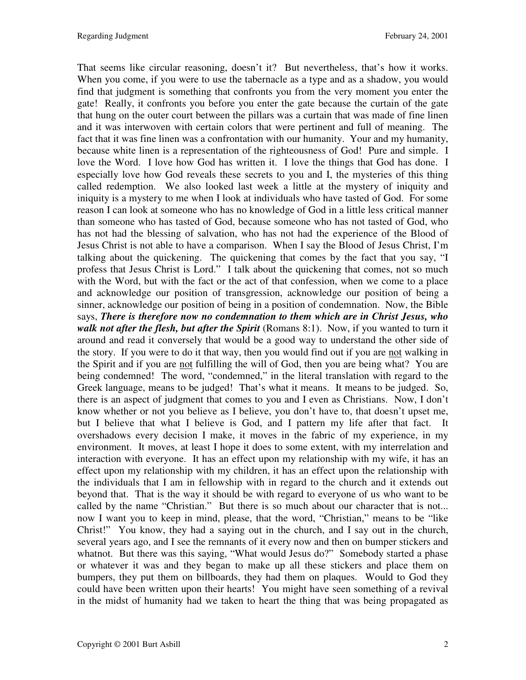That seems like circular reasoning, doesn't it? But nevertheless, that's how it works. When you come, if you were to use the tabernacle as a type and as a shadow, you would find that judgment is something that confronts you from the very moment you enter the gate! Really, it confronts you before you enter the gate because the curtain of the gate that hung on the outer court between the pillars was a curtain that was made of fine linen and it was interwoven with certain colors that were pertinent and full of meaning. The fact that it was fine linen was a confrontation with our humanity. Your and my humanity, because white linen is a representation of the righteousness of God! Pure and simple. I love the Word. I love how God has written it. I love the things that God has done. I especially love how God reveals these secrets to you and I, the mysteries of this thing called redemption. We also looked last week a little at the mystery of iniquity and iniquity is a mystery to me when I look at individuals who have tasted of God. For some reason I can look at someone who has no knowledge of God in a little less critical manner than someone who has tasted of God, because someone who has not tasted of God, who has not had the blessing of salvation, who has not had the experience of the Blood of Jesus Christ is not able to have a comparison. When I say the Blood of Jesus Christ, I'm talking about the quickening. The quickening that comes by the fact that you say, "I profess that Jesus Christ is Lord." I talk about the quickening that comes, not so much with the Word, but with the fact or the act of that confession, when we come to a place and acknowledge our position of transgression, acknowledge our position of being a sinner, acknowledge our position of being in a position of condemnation. Now, the Bible says, *There is therefore now no condemnation to them which are in Christ Jesus, who walk not after the flesh, but after the Spirit* (Romans 8:1). Now, if you wanted to turn it around and read it conversely that would be a good way to understand the other side of the story. If you were to do it that way, then you would find out if you are not walking in the Spirit and if you are not fulfilling the will of God, then you are being what? You are being condemned! The word, "condemned," in the literal translation with regard to the Greek language, means to be judged! That's what it means. It means to be judged. So, there is an aspect of judgment that comes to you and I even as Christians. Now, I don't know whether or not you believe as I believe, you don't have to, that doesn't upset me, but I believe that what I believe is God, and I pattern my life after that fact. It overshadows every decision I make, it moves in the fabric of my experience, in my environment. It moves, at least I hope it does to some extent, with my interrelation and interaction with everyone. It has an effect upon my relationship with my wife, it has an effect upon my relationship with my children, it has an effect upon the relationship with the individuals that I am in fellowship with in regard to the church and it extends out beyond that. That is the way it should be with regard to everyone of us who want to be called by the name "Christian." But there is so much about our character that is not... now I want you to keep in mind, please, that the word, "Christian," means to be "like Christ!" You know, they had a saying out in the church, and I say out in the church, several years ago, and I see the remnants of it every now and then on bumper stickers and whatnot. But there was this saying, "What would Jesus do?" Somebody started a phase or whatever it was and they began to make up all these stickers and place them on bumpers, they put them on billboards, they had them on plaques. Would to God they could have been written upon their hearts! You might have seen something of a revival in the midst of humanity had we taken to heart the thing that was being propagated as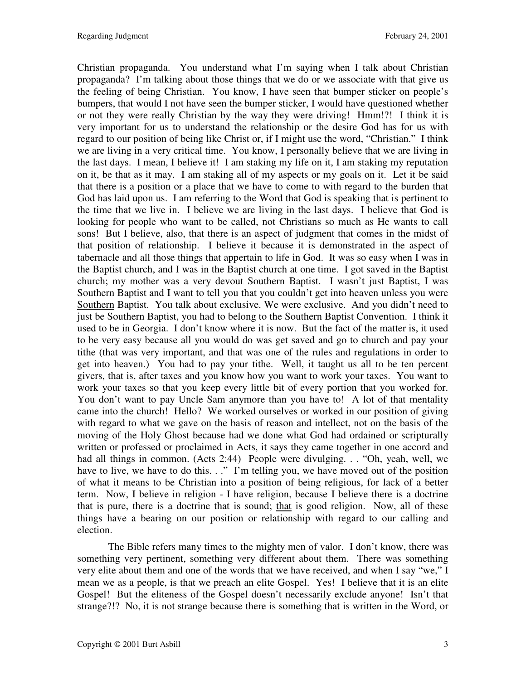Christian propaganda. You understand what I'm saying when I talk about Christian propaganda? I'm talking about those things that we do or we associate with that give us the feeling of being Christian. You know, I have seen that bumper sticker on people's bumpers, that would I not have seen the bumper sticker, I would have questioned whether or not they were really Christian by the way they were driving! Hmm!?! I think it is very important for us to understand the relationship or the desire God has for us with regard to our position of being like Christ or, if I might use the word, "Christian." I think we are living in a very critical time. You know, I personally believe that we are living in the last days. I mean, I believe it! I am staking my life on it, I am staking my reputation on it, be that as it may. I am staking all of my aspects or my goals on it. Let it be said that there is a position or a place that we have to come to with regard to the burden that God has laid upon us. I am referring to the Word that God is speaking that is pertinent to the time that we live in. I believe we are living in the last days. I believe that God is looking for people who want to be called, not Christians so much as He wants to call sons! But I believe, also, that there is an aspect of judgment that comes in the midst of that position of relationship. I believe it because it is demonstrated in the aspect of tabernacle and all those things that appertain to life in God. It was so easy when I was in the Baptist church, and I was in the Baptist church at one time. I got saved in the Baptist church; my mother was a very devout Southern Baptist. I wasn't just Baptist, I was Southern Baptist and I want to tell you that you couldn't get into heaven unless you were Southern Baptist. You talk about exclusive. We were exclusive. And you didn't need to just be Southern Baptist, you had to belong to the Southern Baptist Convention. I think it used to be in Georgia. I don't know where it is now. But the fact of the matter is, it used to be very easy because all you would do was get saved and go to church and pay your tithe (that was very important, and that was one of the rules and regulations in order to get into heaven.) You had to pay your tithe. Well, it taught us all to be ten percent givers, that is, after taxes and you know how you want to work your taxes. You want to work your taxes so that you keep every little bit of every portion that you worked for. You don't want to pay Uncle Sam anymore than you have to! A lot of that mentality came into the church! Hello? We worked ourselves or worked in our position of giving with regard to what we gave on the basis of reason and intellect, not on the basis of the moving of the Holy Ghost because had we done what God had ordained or scripturally written or professed or proclaimed in Acts, it says they came together in one accord and had all things in common. (Acts 2:44) People were divulging. . . "Oh, yeah, well, we have to live, we have to do this. . ." I'm telling you, we have moved out of the position of what it means to be Christian into a position of being religious, for lack of a better term. Now, I believe in religion - I have religion, because I believe there is a doctrine that is pure, there is a doctrine that is sound; that is good religion. Now, all of these things have a bearing on our position or relationship with regard to our calling and election.

The Bible refers many times to the mighty men of valor. I don't know, there was something very pertinent, something very different about them. There was something very elite about them and one of the words that we have received, and when I say "we," I mean we as a people, is that we preach an elite Gospel. Yes! I believe that it is an elite Gospel! But the eliteness of the Gospel doesn't necessarily exclude anyone! Isn't that strange?!? No, it is not strange because there is something that is written in the Word, or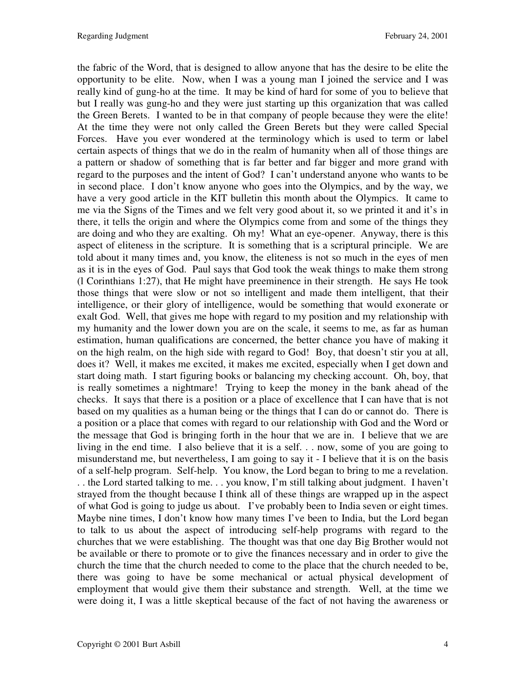the fabric of the Word, that is designed to allow anyone that has the desire to be elite the opportunity to be elite. Now, when I was a young man I joined the service and I was really kind of gung-ho at the time. It may be kind of hard for some of you to believe that but I really was gung-ho and they were just starting up this organization that was called the Green Berets. I wanted to be in that company of people because they were the elite! At the time they were not only called the Green Berets but they were called Special Forces. Have you ever wondered at the terminology which is used to term or label certain aspects of things that we do in the realm of humanity when all of those things are a pattern or shadow of something that is far better and far bigger and more grand with regard to the purposes and the intent of God? I can't understand anyone who wants to be in second place. I don't know anyone who goes into the Olympics, and by the way, we have a very good article in the KIT bulletin this month about the Olympics. It came to me via the Signs of the Times and we felt very good about it, so we printed it and it's in there, it tells the origin and where the Olympics come from and some of the things they are doing and who they are exalting. Oh my! What an eye-opener. Anyway, there is this aspect of eliteness in the scripture. It is something that is a scriptural principle. We are told about it many times and, you know, the eliteness is not so much in the eyes of men as it is in the eyes of God. Paul says that God took the weak things to make them strong (l Corinthians 1:27), that He might have preeminence in their strength. He says He took those things that were slow or not so intelligent and made them intelligent, that their intelligence, or their glory of intelligence, would be something that would exonerate or exalt God. Well, that gives me hope with regard to my position and my relationship with my humanity and the lower down you are on the scale, it seems to me, as far as human estimation, human qualifications are concerned, the better chance you have of making it on the high realm, on the high side with regard to God! Boy, that doesn't stir you at all, does it? Well, it makes me excited, it makes me excited, especially when I get down and start doing math. I start figuring books or balancing my checking account. Oh, boy, that is really sometimes a nightmare! Trying to keep the money in the bank ahead of the checks. It says that there is a position or a place of excellence that I can have that is not based on my qualities as a human being or the things that I can do or cannot do. There is a position or a place that comes with regard to our relationship with God and the Word or the message that God is bringing forth in the hour that we are in. I believe that we are living in the end time. I also believe that it is a self. . . now, some of you are going to misunderstand me, but nevertheless, I am going to say it - I believe that it is on the basis of a self-help program. Self-help. You know, the Lord began to bring to me a revelation. . . the Lord started talking to me. . . you know, I'm still talking about judgment. I haven't strayed from the thought because I think all of these things are wrapped up in the aspect of what God is going to judge us about. I've probably been to India seven or eight times. Maybe nine times, I don't know how many times I've been to India, but the Lord began to talk to us about the aspect of introducing self-help programs with regard to the churches that we were establishing. The thought was that one day Big Brother would not be available or there to promote or to give the finances necessary and in order to give the church the time that the church needed to come to the place that the church needed to be, there was going to have be some mechanical or actual physical development of employment that would give them their substance and strength. Well, at the time we were doing it, I was a little skeptical because of the fact of not having the awareness or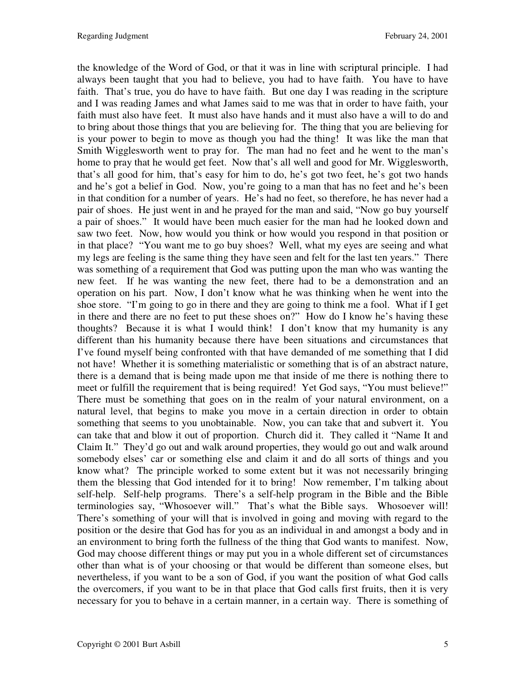the knowledge of the Word of God, or that it was in line with scriptural principle. I had always been taught that you had to believe, you had to have faith. You have to have faith. That's true, you do have to have faith. But one day I was reading in the scripture and I was reading James and what James said to me was that in order to have faith, your faith must also have feet. It must also have hands and it must also have a will to do and to bring about those things that you are believing for. The thing that you are believing for is your power to begin to move as though you had the thing! It was like the man that Smith Wigglesworth went to pray for. The man had no feet and he went to the man's home to pray that he would get feet. Now that's all well and good for Mr. Wigglesworth, that's all good for him, that's easy for him to do, he's got two feet, he's got two hands and he's got a belief in God. Now, you're going to a man that has no feet and he's been in that condition for a number of years. He's had no feet, so therefore, he has never had a pair of shoes. He just went in and he prayed for the man and said, "Now go buy yourself a pair of shoes." It would have been much easier for the man had he looked down and saw two feet. Now, how would you think or how would you respond in that position or in that place? "You want me to go buy shoes? Well, what my eyes are seeing and what my legs are feeling is the same thing they have seen and felt for the last ten years." There was something of a requirement that God was putting upon the man who was wanting the new feet. If he was wanting the new feet, there had to be a demonstration and an operation on his part. Now, I don't know what he was thinking when he went into the shoe store. "I'm going to go in there and they are going to think me a fool. What if I get in there and there are no feet to put these shoes on?" How do I know he's having these thoughts? Because it is what I would think! I don't know that my humanity is any different than his humanity because there have been situations and circumstances that I've found myself being confronted with that have demanded of me something that I did not have! Whether it is something materialistic or something that is of an abstract nature, there is a demand that is being made upon me that inside of me there is nothing there to meet or fulfill the requirement that is being required! Yet God says, "You must believe!" There must be something that goes on in the realm of your natural environment, on a natural level, that begins to make you move in a certain direction in order to obtain something that seems to you unobtainable. Now, you can take that and subvert it. You can take that and blow it out of proportion. Church did it. They called it "Name It and Claim It." They'd go out and walk around properties, they would go out and walk around somebody elses' car or something else and claim it and do all sorts of things and you know what? The principle worked to some extent but it was not necessarily bringing them the blessing that God intended for it to bring! Now remember, I'm talking about self-help. Self-help programs. There's a self-help program in the Bible and the Bible terminologies say, "Whosoever will." That's what the Bible says. Whosoever will! There's something of your will that is involved in going and moving with regard to the position or the desire that God has for you as an individual in and amongst a body and in an environment to bring forth the fullness of the thing that God wants to manifest. Now, God may choose different things or may put you in a whole different set of circumstances other than what is of your choosing or that would be different than someone elses, but nevertheless, if you want to be a son of God, if you want the position of what God calls the overcomers, if you want to be in that place that God calls first fruits, then it is very necessary for you to behave in a certain manner, in a certain way. There is something of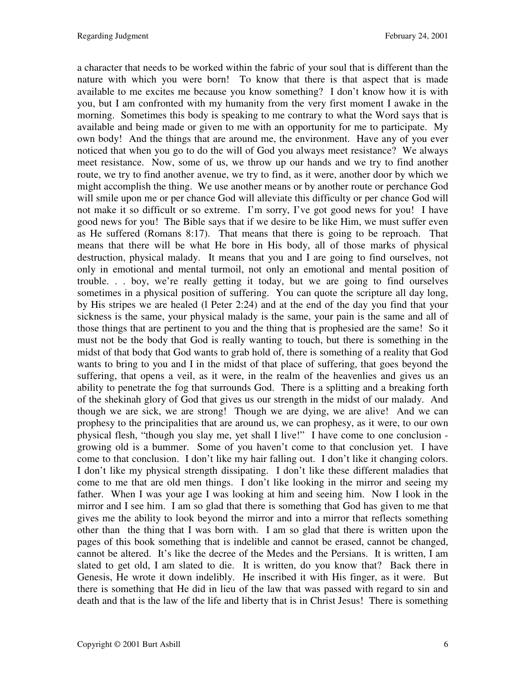a character that needs to be worked within the fabric of your soul that is different than the nature with which you were born! To know that there is that aspect that is made available to me excites me because you know something? I don't know how it is with you, but I am confronted with my humanity from the very first moment I awake in the morning. Sometimes this body is speaking to me contrary to what the Word says that is available and being made or given to me with an opportunity for me to participate. My own body! And the things that are around me, the environment. Have any of you ever noticed that when you go to do the will of God you always meet resistance? We always meet resistance. Now, some of us, we throw up our hands and we try to find another route, we try to find another avenue, we try to find, as it were, another door by which we might accomplish the thing. We use another means or by another route or perchance God will smile upon me or per chance God will alleviate this difficulty or per chance God will not make it so difficult or so extreme. I'm sorry, I've got good news for you! I have good news for you! The Bible says that if we desire to be like Him, we must suffer even as He suffered (Romans 8:17). That means that there is going to be reproach. That means that there will be what He bore in His body, all of those marks of physical destruction, physical malady. It means that you and I are going to find ourselves, not only in emotional and mental turmoil, not only an emotional and mental position of trouble. . . boy, we're really getting it today, but we are going to find ourselves sometimes in a physical position of suffering. You can quote the scripture all day long, by His stripes we are healed (l Peter 2:24) and at the end of the day you find that your sickness is the same, your physical malady is the same, your pain is the same and all of those things that are pertinent to you and the thing that is prophesied are the same! So it must not be the body that God is really wanting to touch, but there is something in the midst of that body that God wants to grab hold of, there is something of a reality that God wants to bring to you and I in the midst of that place of suffering, that goes beyond the suffering, that opens a veil, as it were, in the realm of the heavenlies and gives us an ability to penetrate the fog that surrounds God. There is a splitting and a breaking forth of the shekinah glory of God that gives us our strength in the midst of our malady. And though we are sick, we are strong! Though we are dying, we are alive! And we can prophesy to the principalities that are around us, we can prophesy, as it were, to our own physical flesh, "though you slay me, yet shall I live!" I have come to one conclusion growing old is a bummer. Some of you haven't come to that conclusion yet. I have come to that conclusion. I don't like my hair falling out. I don't like it changing colors. I don't like my physical strength dissipating. I don't like these different maladies that come to me that are old men things. I don't like looking in the mirror and seeing my father. When I was your age I was looking at him and seeing him. Now I look in the mirror and I see him. I am so glad that there is something that God has given to me that gives me the ability to look beyond the mirror and into a mirror that reflects something other than the thing that I was born with. I am so glad that there is written upon the pages of this book something that is indelible and cannot be erased, cannot be changed, cannot be altered. It's like the decree of the Medes and the Persians. It is written, I am slated to get old, I am slated to die. It is written, do you know that? Back there in Genesis, He wrote it down indelibly. He inscribed it with His finger, as it were. But there is something that He did in lieu of the law that was passed with regard to sin and death and that is the law of the life and liberty that is in Christ Jesus! There is something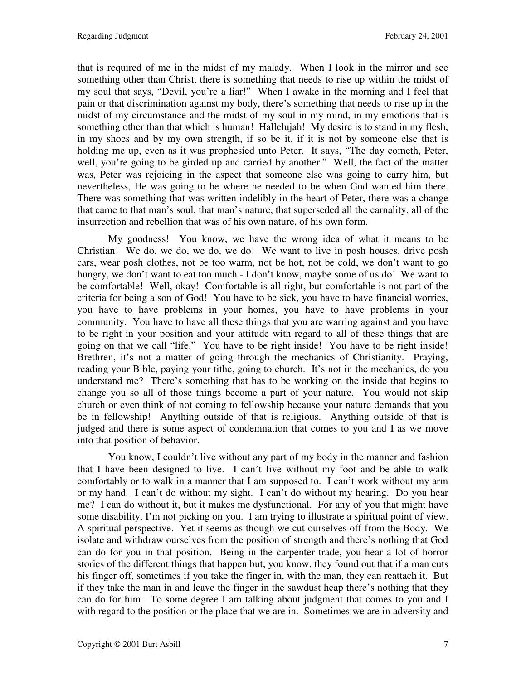that is required of me in the midst of my malady. When I look in the mirror and see something other than Christ, there is something that needs to rise up within the midst of my soul that says, "Devil, you're a liar!" When I awake in the morning and I feel that pain or that discrimination against my body, there's something that needs to rise up in the midst of my circumstance and the midst of my soul in my mind, in my emotions that is something other than that which is human! Hallelujah! My desire is to stand in my flesh, in my shoes and by my own strength, if so be it, if it is not by someone else that is holding me up, even as it was prophesied unto Peter. It says, "The day cometh, Peter, well, you're going to be girded up and carried by another." Well, the fact of the matter was, Peter was rejoicing in the aspect that someone else was going to carry him, but nevertheless, He was going to be where he needed to be when God wanted him there. There was something that was written indelibly in the heart of Peter, there was a change that came to that man's soul, that man's nature, that superseded all the carnality, all of the insurrection and rebellion that was of his own nature, of his own form.

 My goodness! You know, we have the wrong idea of what it means to be Christian! We do, we do, we do, we do! We want to live in posh houses, drive posh cars, wear posh clothes, not be too warm, not be hot, not be cold, we don't want to go hungry, we don't want to eat too much - I don't know, maybe some of us do! We want to be comfortable! Well, okay! Comfortable is all right, but comfortable is not part of the criteria for being a son of God! You have to be sick, you have to have financial worries, you have to have problems in your homes, you have to have problems in your community. You have to have all these things that you are warring against and you have to be right in your position and your attitude with regard to all of these things that are going on that we call "life." You have to be right inside! You have to be right inside! Brethren, it's not a matter of going through the mechanics of Christianity. Praying, reading your Bible, paying your tithe, going to church. It's not in the mechanics, do you understand me? There's something that has to be working on the inside that begins to change you so all of those things become a part of your nature. You would not skip church or even think of not coming to fellowship because your nature demands that you be in fellowship! Anything outside of that is religious. Anything outside of that is judged and there is some aspect of condemnation that comes to you and I as we move into that position of behavior.

 You know, I couldn't live without any part of my body in the manner and fashion that I have been designed to live. I can't live without my foot and be able to walk comfortably or to walk in a manner that I am supposed to. I can't work without my arm or my hand. I can't do without my sight. I can't do without my hearing. Do you hear me? I can do without it, but it makes me dysfunctional. For any of you that might have some disability, I'm not picking on you. I am trying to illustrate a spiritual point of view. A spiritual perspective. Yet it seems as though we cut ourselves off from the Body. We isolate and withdraw ourselves from the position of strength and there's nothing that God can do for you in that position. Being in the carpenter trade, you hear a lot of horror stories of the different things that happen but, you know, they found out that if a man cuts his finger off, sometimes if you take the finger in, with the man, they can reattach it. But if they take the man in and leave the finger in the sawdust heap there's nothing that they can do for him. To some degree I am talking about judgment that comes to you and I with regard to the position or the place that we are in. Sometimes we are in adversity and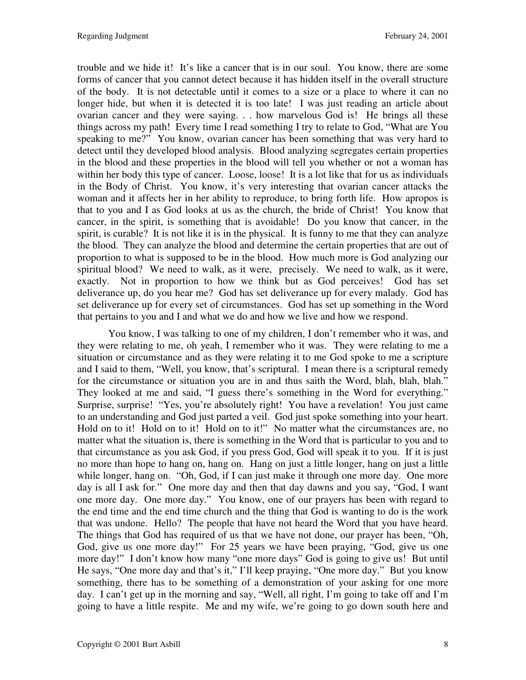trouble and we hide it! It's like a cancer that is in our soul. You know, there are some forms of cancer that you cannot detect because it has hidden itself in the overall structure of the body. It is not detectable until it comes to a size or a place to where it can no longer hide, but when it is detected it is too late! I was just reading an article about ovarian cancer and they were saying. . . how marvelous God is! He brings all these things across my path! Every time I read something I try to relate to God, "What are You speaking to me?" You know, ovarian cancer has been something that was very hard to detect until they developed blood analysis. Blood analyzing segregates certain properties in the blood and these properties in the blood will tell you whether or not a woman has within her body this type of cancer. Loose, loose! It is a lot like that for us as individuals in the Body of Christ. You know, it's very interesting that ovarian cancer attacks the woman and it affects her in her ability to reproduce, to bring forth life. How apropos is that to you and I as God looks at us as the church, the bride of Christ! You know that cancer, in the spirit, is something that is avoidable! Do you know that cancer, in the spirit, is curable? It is not like it is in the physical. It is funny to me that they can analyze the blood. They can analyze the blood and determine the certain properties that are out of proportion to what is supposed to be in the blood. How much more is God analyzing our spiritual blood? We need to walk, as it were, precisely. We need to walk, as it were, exactly. Not in proportion to how we think but as God perceives! God has set deliverance up, do you hear me? God has set deliverance up for every malady. God has set deliverance up for every set of circumstances. God has set up something in the Word that pertains to you and I and what we do and how we live and how we respond.

 You know, I was talking to one of my children, I don't remember who it was, and they were relating to me, oh yeah, I remember who it was. They were relating to me a situation or circumstance and as they were relating it to me God spoke to me a scripture and I said to them, "Well, you know, that's scriptural. I mean there is a scriptural remedy for the circumstance or situation you are in and thus saith the Word, blah, blah, blah." They looked at me and said, "I guess there's something in the Word for everything." Surprise, surprise! "Yes, you're absolutely right! You have a revelation! You just came to an understanding and God just parted a veil. God just spoke something into your heart. Hold on to it! Hold on to it! Hold on to it!" No matter what the circumstances are, no matter what the situation is, there is something in the Word that is particular to you and to that circumstance as you ask God, if you press God, God will speak it to you. If it is just no more than hope to hang on, hang on. Hang on just a little longer, hang on just a little while longer, hang on. "Oh, God, if I can just make it through one more day. One more day is all I ask for." One more day and then that day dawns and you say, "God, I want one more day. One more day." You know, one of our prayers has been with regard to the end time and the end time church and the thing that God is wanting to do is the work that was undone. Hello? The people that have not heard the Word that you have heard. The things that God has required of us that we have not done, our prayer has been, "Oh, God, give us one more day!" For 25 years we have been praying, "God, give us one more day!" I don't know how many "one more days" God is going to give us! But until He says, "One more day and that's it," I'll keep praying, "One more day." But you know something, there has to be something of a demonstration of your asking for one more day. I can't get up in the morning and say, "Well, all right, I'm going to take off and I'm going to have a little respite. Me and my wife, we're going to go down south here and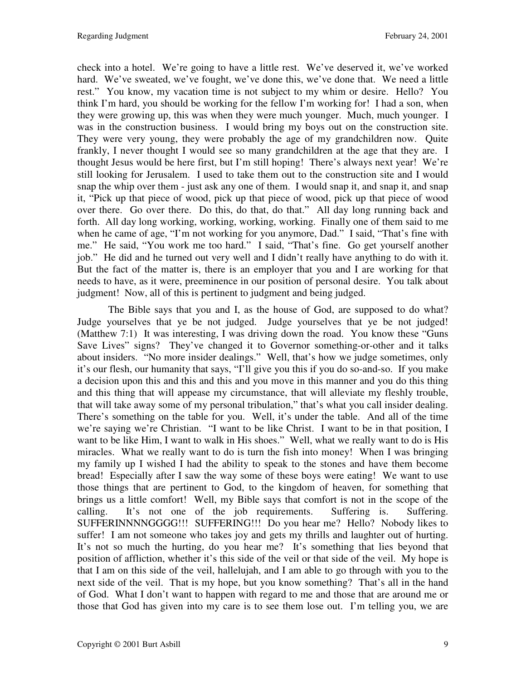check into a hotel. We're going to have a little rest. We've deserved it, we've worked hard. We've sweated, we've fought, we've done this, we've done that. We need a little rest." You know, my vacation time is not subject to my whim or desire. Hello? You think I'm hard, you should be working for the fellow I'm working for! I had a son, when they were growing up, this was when they were much younger. Much, much younger. I was in the construction business. I would bring my boys out on the construction site. They were very young, they were probably the age of my grandchildren now. Quite frankly, I never thought I would see so many grandchildren at the age that they are. I thought Jesus would be here first, but I'm still hoping! There's always next year! We're still looking for Jerusalem. I used to take them out to the construction site and I would snap the whip over them - just ask any one of them. I would snap it, and snap it, and snap it, "Pick up that piece of wood, pick up that piece of wood, pick up that piece of wood over there. Go over there. Do this, do that, do that." All day long running back and forth. All day long working, working, working, working. Finally one of them said to me when he came of age, "I'm not working for you anymore, Dad." I said, "That's fine with me." He said, "You work me too hard." I said, "That's fine. Go get yourself another job." He did and he turned out very well and I didn't really have anything to do with it. But the fact of the matter is, there is an employer that you and I are working for that needs to have, as it were, preeminence in our position of personal desire. You talk about judgment! Now, all of this is pertinent to judgment and being judged.

The Bible says that you and I, as the house of God, are supposed to do what? Judge yourselves that ye be not judged. Judge yourselves that ye be not judged! (Matthew 7:1) It was interesting, I was driving down the road. You know these "Guns Save Lives" signs? They've changed it to Governor something-or-other and it talks about insiders. "No more insider dealings." Well, that's how we judge sometimes, only it's our flesh, our humanity that says, "I'll give you this if you do so-and-so. If you make a decision upon this and this and this and you move in this manner and you do this thing and this thing that will appease my circumstance, that will alleviate my fleshly trouble, that will take away some of my personal tribulation," that's what you call insider dealing. There's something on the table for you. Well, it's under the table. And all of the time we're saying we're Christian. "I want to be like Christ. I want to be in that position, I want to be like Him, I want to walk in His shoes." Well, what we really want to do is His miracles. What we really want to do is turn the fish into money! When I was bringing my family up I wished I had the ability to speak to the stones and have them become bread! Especially after I saw the way some of these boys were eating! We want to use those things that are pertinent to God, to the kingdom of heaven, for something that brings us a little comfort! Well, my Bible says that comfort is not in the scope of the calling. It's not one of the job requirements. Suffering is. Suffering. SUFFERINNNNGGGG!!! SUFFERING!!! Do you hear me? Hello? Nobody likes to suffer! I am not someone who takes joy and gets my thrills and laughter out of hurting. It's not so much the hurting, do you hear me? It's something that lies beyond that position of affliction, whether it's this side of the veil or that side of the veil. My hope is that I am on this side of the veil, hallelujah, and I am able to go through with you to the next side of the veil. That is my hope, but you know something? That's all in the hand of God. What I don't want to happen with regard to me and those that are around me or those that God has given into my care is to see them lose out. I'm telling you, we are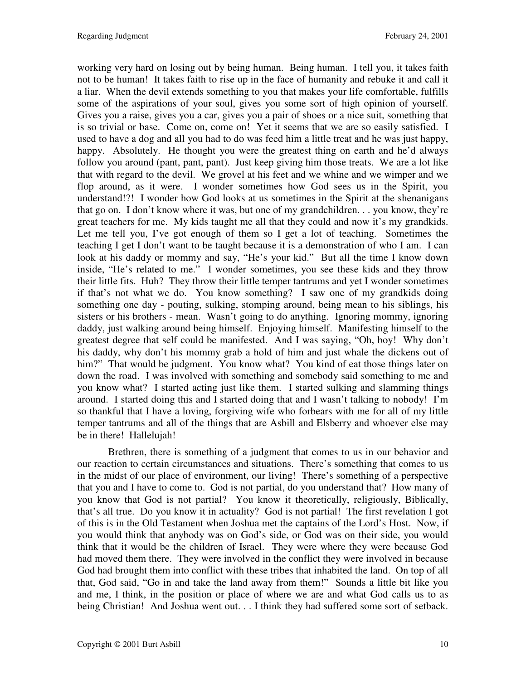working very hard on losing out by being human. Being human. I tell you, it takes faith not to be human! It takes faith to rise up in the face of humanity and rebuke it and call it a liar. When the devil extends something to you that makes your life comfortable, fulfills some of the aspirations of your soul, gives you some sort of high opinion of yourself. Gives you a raise, gives you a car, gives you a pair of shoes or a nice suit, something that is so trivial or base. Come on, come on! Yet it seems that we are so easily satisfied. I used to have a dog and all you had to do was feed him a little treat and he was just happy, happy. Absolutely. He thought you were the greatest thing on earth and he'd always follow you around (pant, pant, pant). Just keep giving him those treats. We are a lot like that with regard to the devil. We grovel at his feet and we whine and we wimper and we flop around, as it were. I wonder sometimes how God sees us in the Spirit, you understand!?! I wonder how God looks at us sometimes in the Spirit at the shenanigans that go on. I don't know where it was, but one of my grandchildren. . . you know, they're great teachers for me. My kids taught me all that they could and now it's my grandkids. Let me tell you, I've got enough of them so I get a lot of teaching. Sometimes the teaching I get I don't want to be taught because it is a demonstration of who I am. I can look at his daddy or mommy and say, "He's your kid." But all the time I know down inside, "He's related to me." I wonder sometimes, you see these kids and they throw their little fits. Huh? They throw their little temper tantrums and yet I wonder sometimes if that's not what we do. You know something? I saw one of my grandkids doing something one day - pouting, sulking, stomping around, being mean to his siblings, his sisters or his brothers - mean. Wasn't going to do anything. Ignoring mommy, ignoring daddy, just walking around being himself. Enjoying himself. Manifesting himself to the greatest degree that self could be manifested. And I was saying, "Oh, boy! Why don't his daddy, why don't his mommy grab a hold of him and just whale the dickens out of him?" That would be judgment. You know what? You kind of eat those things later on down the road. I was involved with something and somebody said something to me and you know what? I started acting just like them. I started sulking and slamming things around. I started doing this and I started doing that and I wasn't talking to nobody! I'm so thankful that I have a loving, forgiving wife who forbears with me for all of my little temper tantrums and all of the things that are Asbill and Elsberry and whoever else may be in there! Hallelujah!

 Brethren, there is something of a judgment that comes to us in our behavior and our reaction to certain circumstances and situations. There's something that comes to us in the midst of our place of environment, our living! There's something of a perspective that you and I have to come to. God is not partial, do you understand that? How many of you know that God is not partial? You know it theoretically, religiously, Biblically, that's all true. Do you know it in actuality? God is not partial! The first revelation I got of this is in the Old Testament when Joshua met the captains of the Lord's Host. Now, if you would think that anybody was on God's side, or God was on their side, you would think that it would be the children of Israel. They were where they were because God had moved them there. They were involved in the conflict they were involved in because God had brought them into conflict with these tribes that inhabited the land. On top of all that, God said, "Go in and take the land away from them!" Sounds a little bit like you and me, I think, in the position or place of where we are and what God calls us to as being Christian! And Joshua went out. . . I think they had suffered some sort of setback.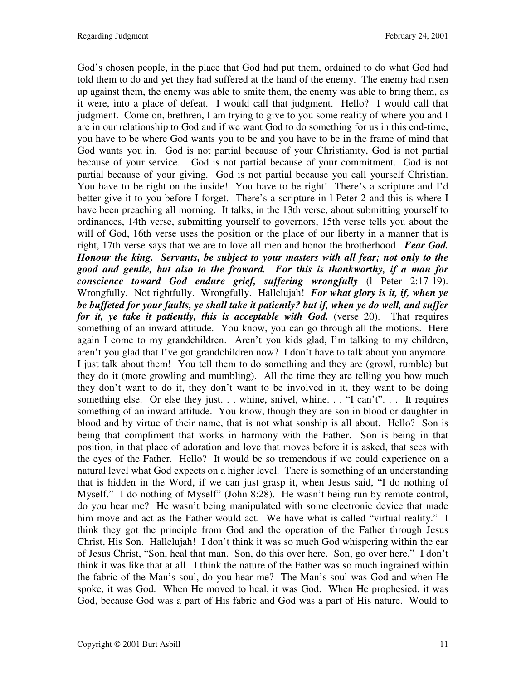God's chosen people, in the place that God had put them, ordained to do what God had told them to do and yet they had suffered at the hand of the enemy. The enemy had risen up against them, the enemy was able to smite them, the enemy was able to bring them, as it were, into a place of defeat. I would call that judgment. Hello? I would call that judgment. Come on, brethren, I am trying to give to you some reality of where you and I are in our relationship to God and if we want God to do something for us in this end-time, you have to be where God wants you to be and you have to be in the frame of mind that God wants you in. God is not partial because of your Christianity, God is not partial because of your service. God is not partial because of your commitment. God is not partial because of your giving. God is not partial because you call yourself Christian. You have to be right on the inside! You have to be right! There's a scripture and I'd better give it to you before I forget. There's a scripture in l Peter 2 and this is where I have been preaching all morning. It talks, in the 13th verse, about submitting yourself to ordinances, 14th verse, submitting yourself to governors, 15th verse tells you about the will of God, 16th verse uses the position or the place of our liberty in a manner that is right, 17th verse says that we are to love all men and honor the brotherhood. *Fear God. Honour the king. Servants, be subject to your masters with all fear; not only to the good and gentle, but also to the froward. For this is thankworthy, if a man for conscience toward God endure grief, suffering wrongfully* (l Peter 2:17-19). Wrongfully. Not rightfully. Wrongfully. Hallelujah! *For what glory is it, if, when ye be buffeted for your faults, ye shall take it patiently? but if, when ye do well, and suffer for it, ye take it patiently, this is acceptable with God.* (verse 20). That requires something of an inward attitude. You know, you can go through all the motions. Here again I come to my grandchildren. Aren't you kids glad, I'm talking to my children, aren't you glad that I've got grandchildren now? I don't have to talk about you anymore. I just talk about them! You tell them to do something and they are (growl, rumble) but they do it (more growling and mumbling). All the time they are telling you how much they don't want to do it, they don't want to be involved in it, they want to be doing something else. Or else they just... whine, snivel, whine... "I can't"... It requires something of an inward attitude. You know, though they are son in blood or daughter in blood and by virtue of their name, that is not what sonship is all about. Hello? Son is being that compliment that works in harmony with the Father. Son is being in that position, in that place of adoration and love that moves before it is asked, that sees with the eyes of the Father. Hello? It would be so tremendous if we could experience on a natural level what God expects on a higher level. There is something of an understanding that is hidden in the Word, if we can just grasp it, when Jesus said, "I do nothing of Myself." I do nothing of Myself" (John 8:28). He wasn't being run by remote control, do you hear me? He wasn't being manipulated with some electronic device that made him move and act as the Father would act. We have what is called "virtual reality." I think they got the principle from God and the operation of the Father through Jesus Christ, His Son. Hallelujah! I don't think it was so much God whispering within the ear of Jesus Christ, "Son, heal that man. Son, do this over here. Son, go over here." I don't think it was like that at all. I think the nature of the Father was so much ingrained within the fabric of the Man's soul, do you hear me? The Man's soul was God and when He spoke, it was God. When He moved to heal, it was God. When He prophesied, it was God, because God was a part of His fabric and God was a part of His nature. Would to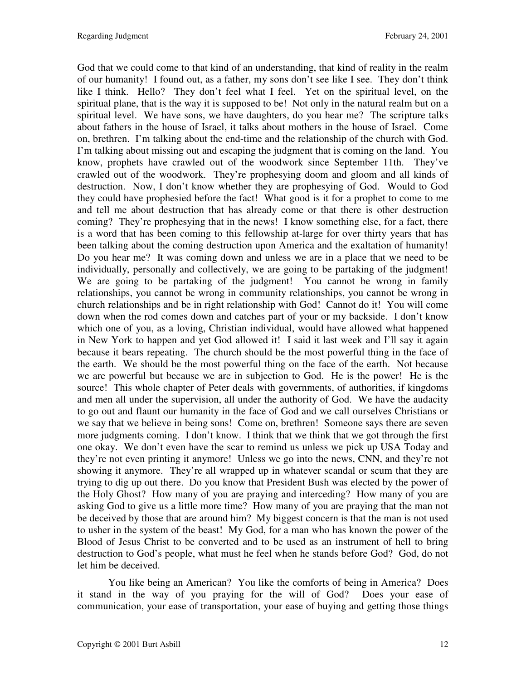God that we could come to that kind of an understanding, that kind of reality in the realm of our humanity! I found out, as a father, my sons don't see like I see. They don't think like I think. Hello? They don't feel what I feel. Yet on the spiritual level, on the spiritual plane, that is the way it is supposed to be! Not only in the natural realm but on a spiritual level. We have sons, we have daughters, do you hear me? The scripture talks about fathers in the house of Israel, it talks about mothers in the house of Israel. Come on, brethren. I'm talking about the end-time and the relationship of the church with God. I'm talking about missing out and escaping the judgment that is coming on the land. You know, prophets have crawled out of the woodwork since September 11th. They've crawled out of the woodwork. They're prophesying doom and gloom and all kinds of destruction. Now, I don't know whether they are prophesying of God. Would to God they could have prophesied before the fact! What good is it for a prophet to come to me and tell me about destruction that has already come or that there is other destruction coming? They're prophesying that in the news! I know something else, for a fact, there is a word that has been coming to this fellowship at-large for over thirty years that has been talking about the coming destruction upon America and the exaltation of humanity! Do you hear me? It was coming down and unless we are in a place that we need to be individually, personally and collectively, we are going to be partaking of the judgment! We are going to be partaking of the judgment! You cannot be wrong in family relationships, you cannot be wrong in community relationships, you cannot be wrong in church relationships and be in right relationship with God! Cannot do it! You will come down when the rod comes down and catches part of your or my backside. I don't know which one of you, as a loving, Christian individual, would have allowed what happened in New York to happen and yet God allowed it! I said it last week and I'll say it again because it bears repeating. The church should be the most powerful thing in the face of the earth. We should be the most powerful thing on the face of the earth. Not because we are powerful but because we are in subjection to God. He is the power! He is the source! This whole chapter of Peter deals with governments, of authorities, if kingdoms and men all under the supervision, all under the authority of God. We have the audacity to go out and flaunt our humanity in the face of God and we call ourselves Christians or we say that we believe in being sons! Come on, brethren! Someone says there are seven more judgments coming. I don't know. I think that we think that we got through the first one okay. We don't even have the scar to remind us unless we pick up USA Today and they're not even printing it anymore! Unless we go into the news, CNN, and they're not showing it anymore. They're all wrapped up in whatever scandal or scum that they are trying to dig up out there. Do you know that President Bush was elected by the power of the Holy Ghost? How many of you are praying and interceding? How many of you are asking God to give us a little more time? How many of you are praying that the man not be deceived by those that are around him? My biggest concern is that the man is not used to usher in the system of the beast! My God, for a man who has known the power of the Blood of Jesus Christ to be converted and to be used as an instrument of hell to bring destruction to God's people, what must he feel when he stands before God? God, do not let him be deceived.

 You like being an American? You like the comforts of being in America? Does it stand in the way of you praying for the will of God? Does your ease of communication, your ease of transportation, your ease of buying and getting those things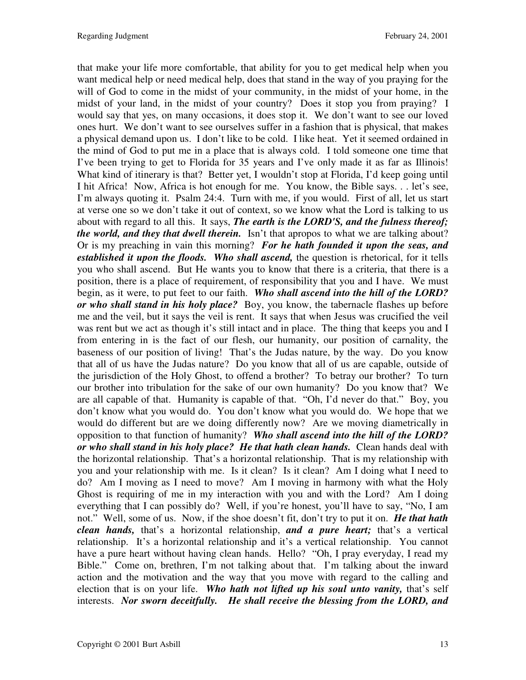that make your life more comfortable, that ability for you to get medical help when you want medical help or need medical help, does that stand in the way of you praying for the will of God to come in the midst of your community, in the midst of your home, in the midst of your land, in the midst of your country? Does it stop you from praying? I would say that yes, on many occasions, it does stop it. We don't want to see our loved ones hurt. We don't want to see ourselves suffer in a fashion that is physical, that makes a physical demand upon us. I don't like to be cold. I like heat. Yet it seemed ordained in the mind of God to put me in a place that is always cold. I told someone one time that I've been trying to get to Florida for 35 years and I've only made it as far as Illinois! What kind of itinerary is that? Better yet, I wouldn't stop at Florida, I'd keep going until I hit Africa! Now, Africa is hot enough for me. You know, the Bible says. . . let's see, I'm always quoting it. Psalm 24:4. Turn with me, if you would. First of all, let us start at verse one so we don't take it out of context, so we know what the Lord is talking to us about with regard to all this. It says, *The earth is the LORD'S, and the fulness thereof; the world, and they that dwell therein.* Isn't that apropos to what we are talking about? Or is my preaching in vain this morning? *For he hath founded it upon the seas, and established it upon the floods. Who shall ascend,* the question is rhetorical, for it tells you who shall ascend. But He wants you to know that there is a criteria, that there is a position, there is a place of requirement, of responsibility that you and I have. We must begin, as it were, to put feet to our faith. *Who shall ascend into the hill of the LORD? or who shall stand in his holy place?* Boy, you know, the tabernacle flashes up before me and the veil, but it says the veil is rent. It says that when Jesus was crucified the veil was rent but we act as though it's still intact and in place. The thing that keeps you and I from entering in is the fact of our flesh, our humanity, our position of carnality, the baseness of our position of living! That's the Judas nature, by the way. Do you know that all of us have the Judas nature? Do you know that all of us are capable, outside of the jurisdiction of the Holy Ghost, to offend a brother? To betray our brother? To turn our brother into tribulation for the sake of our own humanity? Do you know that? We are all capable of that. Humanity is capable of that. "Oh, I'd never do that." Boy, you don't know what you would do. You don't know what you would do. We hope that we would do different but are we doing differently now? Are we moving diametrically in opposition to that function of humanity? *Who shall ascend into the hill of the LORD? or who shall stand in his holy place? He that hath clean hands.* Clean hands deal with the horizontal relationship. That's a horizontal relationship. That is my relationship with you and your relationship with me. Is it clean? Is it clean? Am I doing what I need to do? Am I moving as I need to move? Am I moving in harmony with what the Holy Ghost is requiring of me in my interaction with you and with the Lord? Am I doing everything that I can possibly do? Well, if you're honest, you'll have to say, "No, I am not." Well, some of us. Now, if the shoe doesn't fit, don't try to put it on. *He that hath clean hands,* that's a horizontal relationship, *and a pure heart;* that's a vertical relationship. It's a horizontal relationship and it's a vertical relationship. You cannot have a pure heart without having clean hands. Hello? "Oh, I pray everyday, I read my Bible." Come on, brethren, I'm not talking about that. I'm talking about the inward action and the motivation and the way that you move with regard to the calling and election that is on your life. *Who hath not lifted up his soul unto vanity,* that's self interests. *Nor sworn deceitfully. He shall receive the blessing from the LORD, and*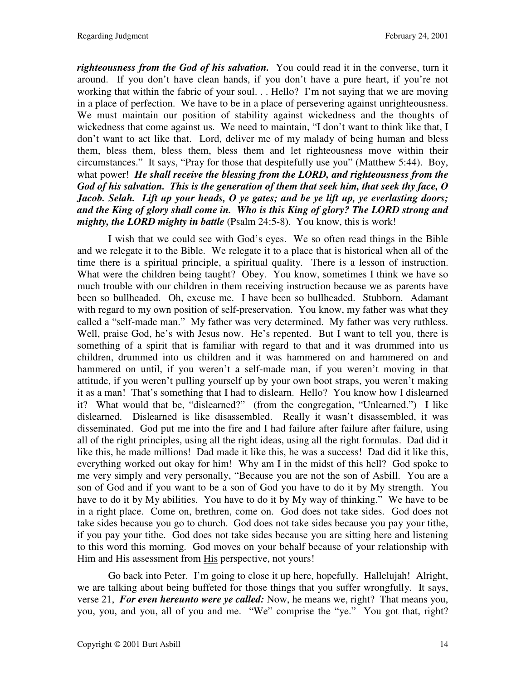*righteousness from the God of his salvation.* You could read it in the converse, turn it around. If you don't have clean hands, if you don't have a pure heart, if you're not working that within the fabric of your soul. . . Hello? I'm not saying that we are moving in a place of perfection. We have to be in a place of persevering against unrighteousness. We must maintain our position of stability against wickedness and the thoughts of wickedness that come against us. We need to maintain, "I don't want to think like that, I don't want to act like that. Lord, deliver me of my malady of being human and bless them, bless them, bless them, bless them and let righteousness move within their circumstances." It says, "Pray for those that despitefully use you" (Matthew 5:44). Boy, what power! *He shall receive the blessing from the LORD, and righteousness from the God of his salvation. This is the generation of them that seek him, that seek thy face, O Jacob. Selah. Lift up your heads, O ye gates; and be ye lift up, ye everlasting doors; and the King of glory shall come in. Who is this King of glory? The LORD strong and mighty, the LORD mighty in battle* (Psalm 24:5-8). You know, this is work!

 I wish that we could see with God's eyes. We so often read things in the Bible and we relegate it to the Bible. We relegate it to a place that is historical when all of the time there is a spiritual principle, a spiritual quality. There is a lesson of instruction. What were the children being taught? Obey. You know, sometimes I think we have so much trouble with our children in them receiving instruction because we as parents have been so bullheaded. Oh, excuse me. I have been so bullheaded. Stubborn. Adamant with regard to my own position of self-preservation. You know, my father was what they called a "self-made man." My father was very determined. My father was very ruthless. Well, praise God, he's with Jesus now. He's repented. But I want to tell you, there is something of a spirit that is familiar with regard to that and it was drummed into us children, drummed into us children and it was hammered on and hammered on and hammered on until, if you weren't a self-made man, if you weren't moving in that attitude, if you weren't pulling yourself up by your own boot straps, you weren't making it as a man! That's something that I had to dislearn. Hello? You know how I dislearned it? What would that be, "dislearned?" (from the congregation, "Unlearned.") I like dislearned. Dislearned is like disassembled. Really it wasn't disassembled, it was disseminated. God put me into the fire and I had failure after failure after failure, using all of the right principles, using all the right ideas, using all the right formulas. Dad did it like this, he made millions! Dad made it like this, he was a success! Dad did it like this, everything worked out okay for him! Why am I in the midst of this hell? God spoke to me very simply and very personally, "Because you are not the son of Asbill. You are a son of God and if you want to be a son of God you have to do it by My strength. You have to do it by My abilities. You have to do it by My way of thinking." We have to be in a right place. Come on, brethren, come on. God does not take sides. God does not take sides because you go to church. God does not take sides because you pay your tithe, if you pay your tithe. God does not take sides because you are sitting here and listening to this word this morning. God moves on your behalf because of your relationship with Him and His assessment from His perspective, not yours!

 Go back into Peter. I'm going to close it up here, hopefully. Hallelujah! Alright, we are talking about being buffeted for those things that you suffer wrongfully. It says, verse 21, *For even hereunto were ye called:* Now, he means we, right? That means you, you, you, and you, all of you and me. "We" comprise the "ye." You got that, right?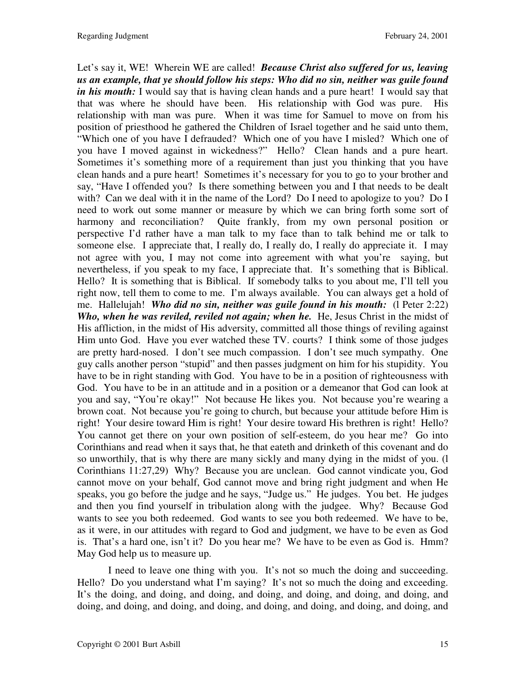Let's say it, WE! Wherein WE are called! *Because Christ also suffered for us, leaving us an example, that ye should follow his steps: Who did no sin, neither was guile found in his mouth:* I would say that is having clean hands and a pure heart! I would say that that was where he should have been. His relationship with God was pure. His relationship with man was pure. When it was time for Samuel to move on from his position of priesthood he gathered the Children of Israel together and he said unto them, "Which one of you have I defrauded? Which one of you have I misled? Which one of you have I moved against in wickedness?" Hello? Clean hands and a pure heart. Sometimes it's something more of a requirement than just you thinking that you have clean hands and a pure heart! Sometimes it's necessary for you to go to your brother and say, "Have I offended you? Is there something between you and I that needs to be dealt with? Can we deal with it in the name of the Lord? Do I need to apologize to you? Do I need to work out some manner or measure by which we can bring forth some sort of harmony and reconciliation? Quite frankly, from my own personal position or perspective I'd rather have a man talk to my face than to talk behind me or talk to someone else. I appreciate that, I really do, I really do, I really do appreciate it. I may not agree with you, I may not come into agreement with what you're saying, but nevertheless, if you speak to my face, I appreciate that. It's something that is Biblical. Hello? It is something that is Biblical. If somebody talks to you about me, I'll tell you right now, tell them to come to me. I'm always available. You can always get a hold of me. Hallelujah! *Who did no sin, neither was guile found in his mouth:* (l Peter 2:22) *Who, when he was reviled, reviled not again; when he.* He, Jesus Christ in the midst of His affliction, in the midst of His adversity, committed all those things of reviling against Him unto God. Have you ever watched these TV. courts? I think some of those judges are pretty hard-nosed. I don't see much compassion. I don't see much sympathy. One guy calls another person "stupid" and then passes judgment on him for his stupidity. You have to be in right standing with God. You have to be in a position of righteousness with God. You have to be in an attitude and in a position or a demeanor that God can look at you and say, "You're okay!" Not because He likes you. Not because you're wearing a brown coat. Not because you're going to church, but because your attitude before Him is right! Your desire toward Him is right! Your desire toward His brethren is right! Hello? You cannot get there on your own position of self-esteem, do you hear me? Go into Corinthians and read when it says that, he that eateth and drinketh of this covenant and do so unworthily, that is why there are many sickly and many dying in the midst of you. (l Corinthians 11:27,29) Why? Because you are unclean. God cannot vindicate you, God cannot move on your behalf, God cannot move and bring right judgment and when He speaks, you go before the judge and he says, "Judge us." He judges. You bet. He judges and then you find yourself in tribulation along with the judgee. Why? Because God wants to see you both redeemed. God wants to see you both redeemed. We have to be, as it were, in our attitudes with regard to God and judgment, we have to be even as God is. That's a hard one, isn't it? Do you hear me? We have to be even as God is. Hmm? May God help us to measure up.

 I need to leave one thing with you. It's not so much the doing and succeeding. Hello? Do you understand what I'm saying? It's not so much the doing and exceeding. It's the doing, and doing, and doing, and doing, and doing, and doing, and doing, and doing, and doing, and doing, and doing, and doing, and doing, and doing, and doing, and